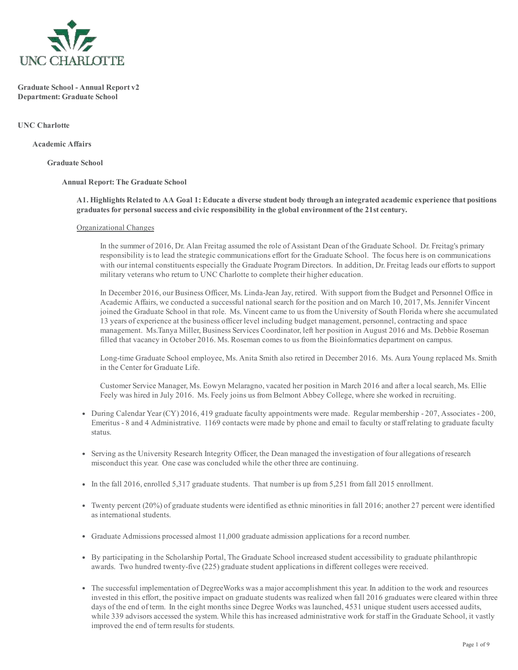

Graduate School Annual Report v2 Department: Graduate School

UNC Charlotte

Academic Affairs

Graduate School

#### Annual Report: The Graduate School

A1. Highlights Related to AA Goal 1: Educate a diverse student body through an integrated academic experience that positions graduates for personal success and civic responsibility in the global environment of the 21st century.

#### Organizational Changes

In the summer of 2016, Dr. Alan Freitag assumed the role of Assistant Dean of the Graduate School. Dr. Freitag's primary responsibility is to lead the strategic communications effort for the Graduate School. The focus here is on communications with our internal constituents especially the Graduate Program Directors. In addition, Dr. Freitag leads our efforts to support military veterans who return to UNC Charlotte to complete their higher education.

In December 2016, our Business Officer, Ms. Linda-Jean Jay, retired. With support from the Budget and Personnel Office in Academic Affairs, we conducted a successful national search for the position and on March 10, 2017, Ms. Jennifer Vincent joined the Graduate School in that role. Ms. Vincent came to us from the University of South Florida where she accumulated 13 years of experience at the business officer level including budget management, personnel, contracting and space management. Ms.Tanya Miller, Business Services Coordinator, left her position in August 2016 and Ms. Debbie Roseman filled that vacancy in October 2016. Ms. Roseman comes to us from the Bioinformatics department on campus.

Long-time Graduate School employee, Ms. Anita Smith also retired in December 2016. Ms. Aura Young replaced Ms. Smith in the Center for Graduate Life.

Customer Service Manager, Ms. Eowyn Melaragno, vacated her position in March 2016 and after a local search, Ms. Ellie Feely was hired in July 2016. Ms. Feely joins us from Belmont Abbey College, where she worked in recruiting.

- During Calendar Year (CY) 2016, 419 graduate faculty appointments were made. Regular membership 207, Associates 200, Emeritus - 8 and 4 Administrative. 1169 contacts were made by phone and email to faculty or staff relating to graduate faculty status.
- Serving as the University Research Integrity Officer, the Dean managed the investigation of four allegations of research misconduct this year. One case was concluded while the other three are continuing.
- In the fall 2016, enrolled 5,317 graduate students. That number is up from 5,251 from fall 2015 enrollment.
- Twenty percent (20%) of graduate students were identified as ethnic minorities in fall 2016; another 27 percent were identified as international students.
- Graduate Admissions processed almost 11,000 graduate admission applications for a record number.
- By participating in the Scholarship Portal, The Graduate School increased student accessibility to graduate philanthropic awards. Two hundred twenty-five (225) graduate student applications in different colleges were received.
- The successful implementation of DegreeWorks was a major accomplishment this year. In addition to the work and resources invested in this effort, the positive impact on graduate students was realized when fall 2016 graduates were cleared within three days of the end of term. In the eight months since Degree Works was launched, 4531 unique student users accessed audits, while 339 advisors accessed the system. While this has increased administrative work forstaff in the Graduate School, it vastly improved the end of term results for students.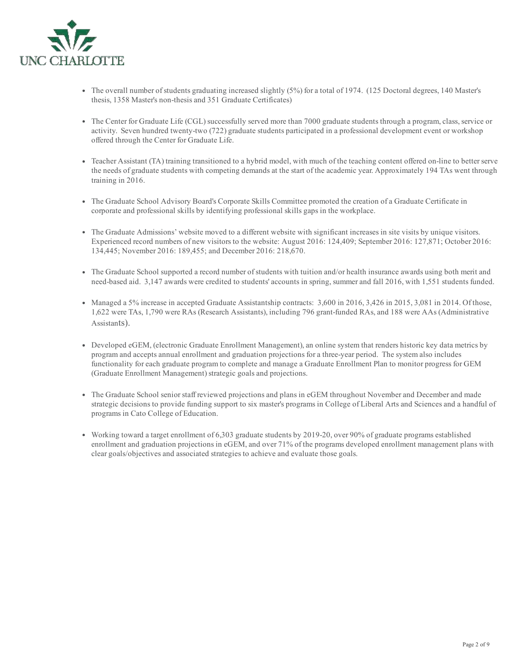

- The overall number of students graduating increased slightly (5%) for a total of 1974. (125 Doctoral degrees, 140 Master's thesis, 1358 Master's non-thesis and 351 Graduate Certificates)
- The Center for Graduate Life (CGL) successfully served more than 7000 graduate students through a program, class, service or activity. Seven hundred twenty-two (722) graduate students participated in a professional development event or workshop offered through the Center for Graduate Life.
- Teacher Assistant (TA) training transitioned to a hybrid model, with much of the teaching content offered on-line to better serve the needs of graduate students with competing demands at the start of the academic year. Approximately 194 TAs went through training in 2016.
- The Graduate School Advisory Board's Corporate Skills Committee promoted the creation of a Graduate Certificate in corporate and professional skills by identifying professional skills gaps in the workplace.
- The Graduate Admissions' website moved to a different website with significant increases in site visits by unique visitors. Experienced record numbers of new visitors to the website: August 2016: 124,409; September 2016: 127,871; October 2016: 134,445; November 2016: 189,455; and December 2016: 218,670.
- The Graduate School supported a record number ofstudents with tuition and/or health insurance awards using both merit and need-based aid. 3,147 awards were credited to students' accounts in spring, summer and fall 2016, with 1,551 students funded.
- Managed a 5% increase in accepted Graduate Assistantship contracts: 3,600 in 2016, 3,426 in 2015, 3,081 in 2014. Of those, 1,622 were TAs, 1,790 were RAs (Research Assistants), including 796 grant-funded RAs, and 188 were AAs (Administrative Assistants).
- Developed eGEM, (electronic Graduate Enrollment Management), an online system that renders historic key data metrics by program and accepts annual enrollment and graduation projections for a three-year period. The system also includes functionality for each graduate program to complete and manage a Graduate Enrollment Plan to monitor progress for GEM (Graduate Enrollment Management) strategic goals and projections.
- The Graduate School senior staff reviewed projections and plans in eGEM throughout November and December and made strategic decisions to provide funding support to six master's programs in College of Liberal Arts and Sciences and a handful of programs in Cato College of Education.
- Working toward a target enrollment of 6,303 graduate students by 201920, over 90% of graduate programs established enrollment and graduation projections in eGEM, and over 71% of the programs developed enrollment management plans with clear goals/objectives and associated strategies to achieve and evaluate those goals.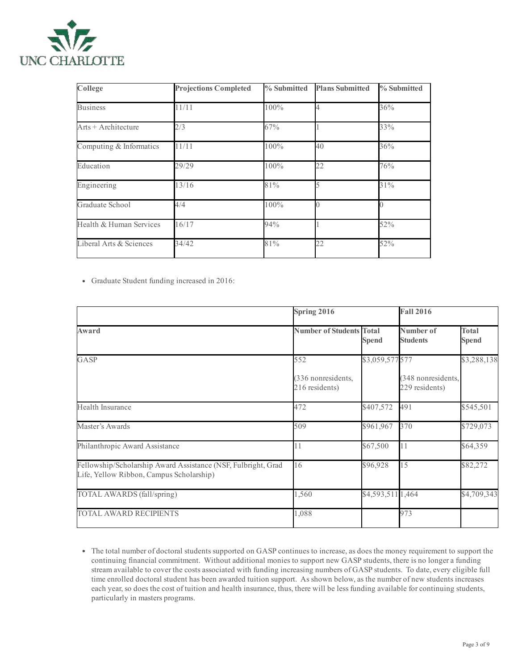

| College                 | <b>Projections Completed</b> | % Submitted | <b>Plans Submitted</b> | % Submitted<br>36% |  |
|-------------------------|------------------------------|-------------|------------------------|--------------------|--|
| <b>Business</b>         | 11/11                        | 100%        |                        |                    |  |
| Arts + Architecture     | 2/3                          | 67%         |                        | 33%                |  |
| Computing & Informatics | 11/11                        | 100%        | 40                     | 36%                |  |
| Education               | 29/29                        | 100%        | 22                     | 76%                |  |
| Engineering             | 13/16                        | 81%         |                        | 31%                |  |
| Graduate School         | 4/4                          | 100%        |                        |                    |  |
| Health & Human Services | 16/17                        | 94%         |                        | 52%                |  |
| Liberal Arts & Sciences | 34/42                        | 81%         | 22                     | 52%                |  |

Graduate Student funding increased in 2016:

|                                                                                                           | Spring 2016                         |                   | <b>Fall 2016</b>                     |                              |
|-----------------------------------------------------------------------------------------------------------|-------------------------------------|-------------------|--------------------------------------|------------------------------|
| Award                                                                                                     | <b>Number of Students Total</b>     | <b>Spend</b>      | Number of<br><b>Students</b>         | <b>Total</b><br><b>Spend</b> |
| GASP                                                                                                      | 552                                 | \$3,059,577 577   |                                      | \$3,288,138                  |
|                                                                                                           | 336 nonresidents,<br>216 residents) |                   | (348 nonresidents,<br>229 residents) |                              |
| Health Insurance                                                                                          | 472                                 | \$407,572         | 491                                  | \$545,501                    |
| Master's Awards                                                                                           | 509                                 | \$961,967         | 370                                  | \$729,073                    |
| Philanthropic Award Assistance                                                                            | 11                                  | \$67,500          | 11                                   | \$64,359                     |
| Fellowship/Scholarship Award Assistance (NSF, Fulbright, Grad<br>Life, Yellow Ribbon, Campus Scholarship) | 16                                  | \$96,928          | 15                                   | \$82,272                     |
| TOTAL AWARDS (fall/spring)                                                                                | 1,560                               | \$4,593,511 1,464 |                                      | \$4,709,343                  |
| <b>TOTAL AWARD RECIPIENTS</b>                                                                             | 1,088                               |                   | 973                                  |                              |
|                                                                                                           |                                     |                   |                                      |                              |

The total number of doctoral students supported on GASP continues to increase, as does the money requirement to support the continuing financial commitment. Without additional monies to support new GASP students, there is no longer a funding stream available to cover the costs associated with funding increasing numbers of GASP students. To date, every eligible full time enrolled doctoral student has been awarded tuition support. As shown below, as the number of new students increases each year, so does the cost of tuition and health insurance, thus, there will be less funding available for continuing students, particularly in masters programs.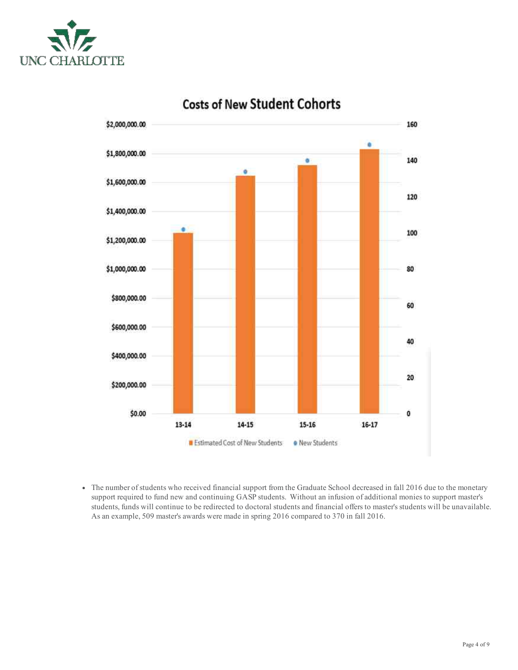



# **Costs of New Student Cohorts**

• The number of students who received financial support from the Graduate School decreased in fall 2016 due to the monetary support required to fund new and continuing GASP students. Without an infusion of additional monies to support master's students, funds will continue to be redirected to doctoral students and financial offers to master's students will be unavailable. As an example, 509 master's awards were made in spring 2016 compared to 370 in fall 2016.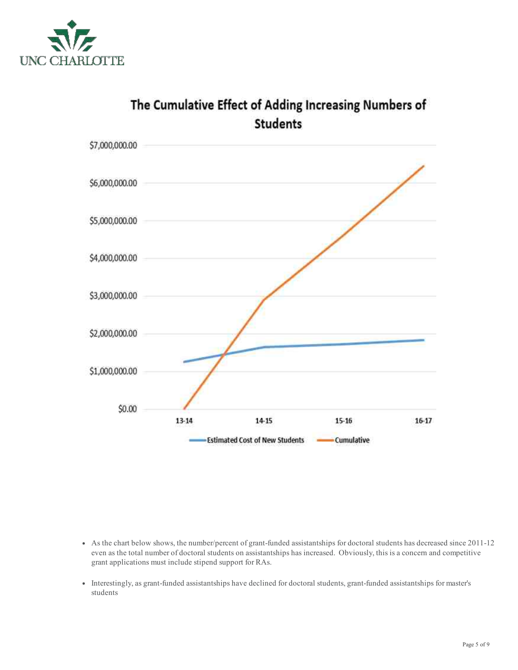



# The Cumulative Effect of Adding Increasing Numbers of

- As the chart below shows, the number/percent of grant-funded assistantships for doctoral students has decreased since 2011-12 even as the total number of doctoral students on assistantships has increased. Obviously, this is a concern and competitive grant applications must include stipend support for RAs.
- Interestingly, as grant-funded assistantships have declined for doctoral students, grant-funded assistantships for master's students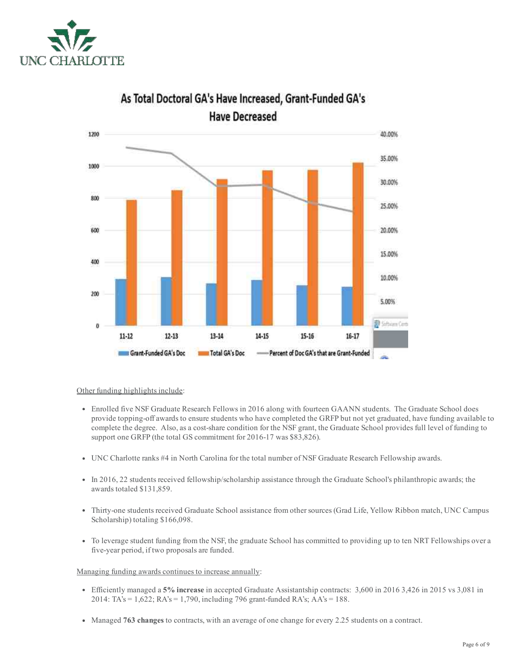



# As Total Doctoral GA's Have Increased, Grant-Funded GA's **Have Decreased**

Other funding highlights include:

- Enrolled five NSF Graduate Research Fellows in 2016 along with fourteen GAANN students. The Graduate School does provide topping-off awards to ensure students who have completed the GRFP but not yet graduated, have funding available to complete the degree. Also, as a cost-share condition for the NSF grant, the Graduate School provides full level of funding to support one GRFP (the total GS commitment for 2016-17 was \$83,826).
- UNC Charlotte ranks #4 in North Carolina for the total number of NSF Graduate Research Fellowship awards.
- In 2016, 22 students received fellowship/scholarship assistance through the Graduate School's philanthropic awards; the awards totaled \$131,859.
- Thirty-one students received Graduate School assistance from other sources (Grad Life, Yellow Ribbon match, UNC Campus Scholarship) totaling \$166,098.
- To leverage student funding from the NSF, the graduate School has committed to providing up to ten NRT Fellowships over a five-year period, if two proposals are funded.

Managing funding awards continues to increase annually:

- Efficiently managed a 5% increase in accepted Graduate Assistantship contracts: 3,600 in 2016 3,426 in 2015 vs 3,081 in 2014: TA's = 1,622; RA's = 1,790, including 796 grant-funded RA's; AA's = 188.
- Managed 763 changes to contracts, with an average of one change for every 2.25 students on a contract.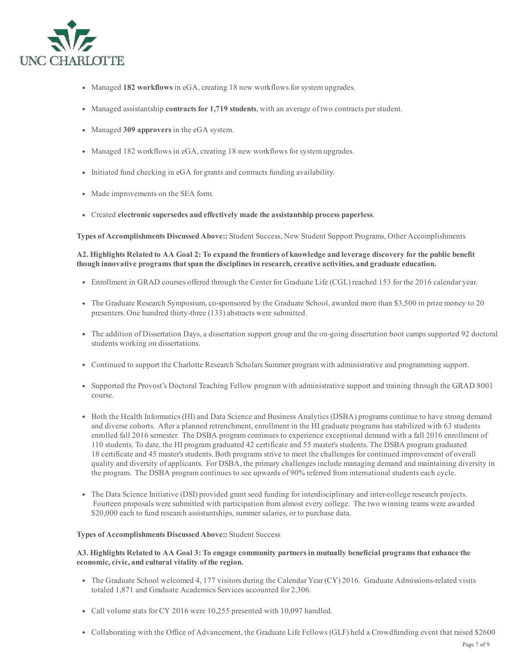

- Managed 182 workflows in eGA, creating 18 new workflows for system upgrades.
- Managed assistantship **contracts for 1,719 students**, with an average of two contracts per student.
- Managed 309 approvers in the eGA system.
- Managed 182 workflows in eGA, creating 18 new workflows for system upgrades.
- Initiated fund checking in eGA for grants and contracts funding availability.
- Made improvements on the SEA form.
- Created electronic supersedes and effectively made the assistantship process paperless.

Types of Accomplishments Discussed Above:: Student Success, New Student Support Programs, Other Accomplishments

A2. Highlights Related to AA Goal 2: To expand the frontiers of knowledge and leverage discovery for the public benefit though innovative programs thatspan the disciplines in research, creative activities, and graduate education.

- Enrollment in GRAD courses offered through the Center for Graduate Life (CGL) reached 153 for the 2016 calendar year.
- The Graduate Research Symposium, co-sponsored by the Graduate School, awarded more than \$3,500 in prize money to 20 presenters. One hundred thirty-three (133) abstracts were submitted.
- The addition of Dissertation Days, a dissertation support group and the on-going dissertation boot camps supported 92 doctoral students working on dissertations.
- Continued to support the Charlotte Research Scholars Summer program with administrative and programming support.
- Supported the Provost's Doctoral Teaching Fellow program with administrative support and training through the GRAD 8001 course.
- Both the Health Informatics (HI) and Data Science and Business Analytics (DSBA) programs continue to have strong demand and diverse cohorts. After a planned retrenchment, enrollment in the HI graduate programs has stabilized with 63 students enrolled fall 2016 semester. The DSBA program continues to experience exceptional demand with a fall 2016 enrollment of 110 students. To date, the HI program graduated 42 certificate and 55 master's students. The DSBA program graduated 18 certificate and 45 master's students. Both programs strive to meet the challenges for continued improvement of overall quality and diversity of applicants. For DSBA, the primary challenges include managing demand and maintaining diversity in the program. The DSBA program continues to see upwards of 90% referred from international students each cycle.
- The Data Science Initiative (DSI) provided grant seed funding for interdisciplinary and intercollege research projects. Fourteen proposals were submitted with participation from almost every college. The two winning teams were awarded \$20,000 each to fund research assistantships, summer salaries, or to purchase data.

### Types of Accomplishments Discussed Above:: Student Success

## A3. Highlights Related to AA Goal 3: To engage community partners in mutually beneficial programs that enhance the economic, civic, and cultural vitality of the region.

- The Graduate School welcomed 4, 177 visitors during the Calendar Year (CY) 2016. Graduate Admissions-related visits totaled 1,871 and Graduate Academics Services accounted for 2,306.
- Call volume stats for CY 2016 were 10,255 presented with 10,097 handled.
- Collaborating with the Office of Advancement, the Graduate Life Fellows (GLF) held a Crowdfunding event that raised \$2600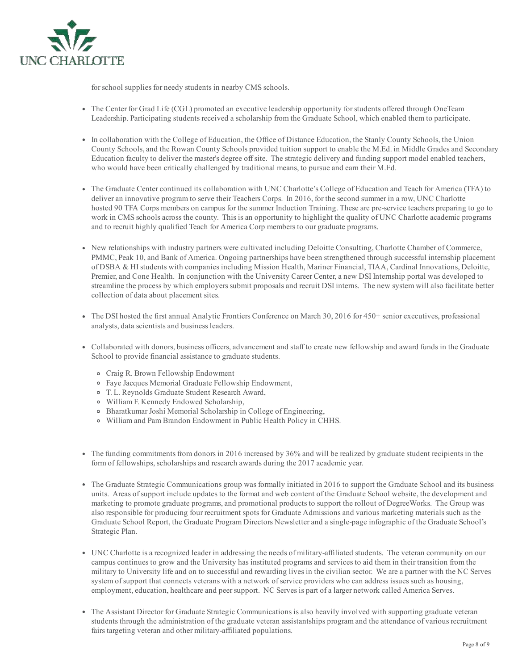

for school supplies for needy students in nearby CMS schools.

- The Center for Grad Life (CGL) promoted an executive leadership opportunity for students offered through OneTeam Leadership. Participating students received a scholarship from the Graduate School, which enabled them to participate.
- In collaboration with the College of Education, the Office of Distance Education, the Stanly County Schools, the Union County Schools, and the Rowan County Schools provided tuition support to enable the M.Ed. in Middle Grades and Secondary Education faculty to deliver the master's degree offsite. The strategic delivery and funding support model enabled teachers, who would have been critically challenged by traditional means, to pursue and earn their M.Ed.
- The Graduate Center continued its collaboration with UNC Charlotte's College of Education and Teach for America (TFA) to deliver an innovative program to serve their Teachers Corps. In 2016, for the second summer in a row, UNC Charlotte hosted 90 TFA Corps members on campus for the summer Induction Training. These are pre-service teachers preparing to go to work in CMS schools across the county. This is an opportunity to highlight the quality of UNC Charlotte academic programs and to recruit highly qualified Teach for America Corp members to our graduate programs.
- New relationships with industry partners were cultivated including Deloitte Consulting, Charlotte Chamber of Commerce, PMMC, Peak 10, and Bank of America. Ongoing partnerships have been strengthened through successful internship placement of DSBA & HIstudents with companies including Mission Health, Mariner Financial, TIAA, Cardinal Innovations, Deloitte, Premier, and Cone Health. In conjunction with the University Career Center, a new DSI Internship portal was developed to streamline the process by which employers submit proposals and recruit DSI interns. The new system will also facilitate better collection of data about placement sites.
- The DSI hosted the first annual Analytic Frontiers Conference on March 30, 2016 for 450+ senior executives, professional analysts, data scientists and business leaders.
- Collaborated with donors, business officers, advancement and staff to create new fellowship and award funds in the Graduate School to provide financial assistance to graduate students.
	- Craig R. Brown Fellowship Endowment
	- Faye Jacques Memorial Graduate Fellowship Endowment,
	- T. L. Reynolds Graduate Student Research Award,
	- William F. Kennedy Endowed Scholarship,
	- <sup>o</sup> Bharatkumar Joshi Memorial Scholarship in College of Engineering,
	- William and Pam Brandon Endowment in Public Health Policy in CHHS.
- The funding commitments from donors in 2016 increased by 36% and will be realized by graduate student recipients in the form of fellowships, scholarships and research awards during the 2017 academic year.
- The Graduate Strategic Communications group was formally initiated in 2016 to support the Graduate School and its business units. Areas ofsupport include updates to the format and web content of the Graduate School website, the development and marketing to promote graduate programs, and promotional products to support the rollout of DegreeWorks. The Group was also responsible for producing four recruitment spots for Graduate Admissions and various marketing materials such as the Graduate School Report, the Graduate Program Directors Newsletter and a singlepage infographic of the Graduate School's Strategic Plan.
- UNC Charlotte is a recognized leader in addressing the needs of militaryaffiliated students. The veteran community on our campus continues to grow and the University has instituted programs and services to aid them in their transition from the military to University life and on to successful and rewarding lives in the civilian sector. We are a partner with the NC Serves system of support that connects veterans with a network of service providers who can address issues such as housing, employment, education, healthcare and peersupport. NC Serves is part of a larger network called America Serves.
- The Assistant Director for Graduate Strategic Communications is also heavily involved with supporting graduate veteran students through the administration of the graduate veteran assistantships program and the attendance of various recruitment fairs targeting veteran and other military-affiliated populations.